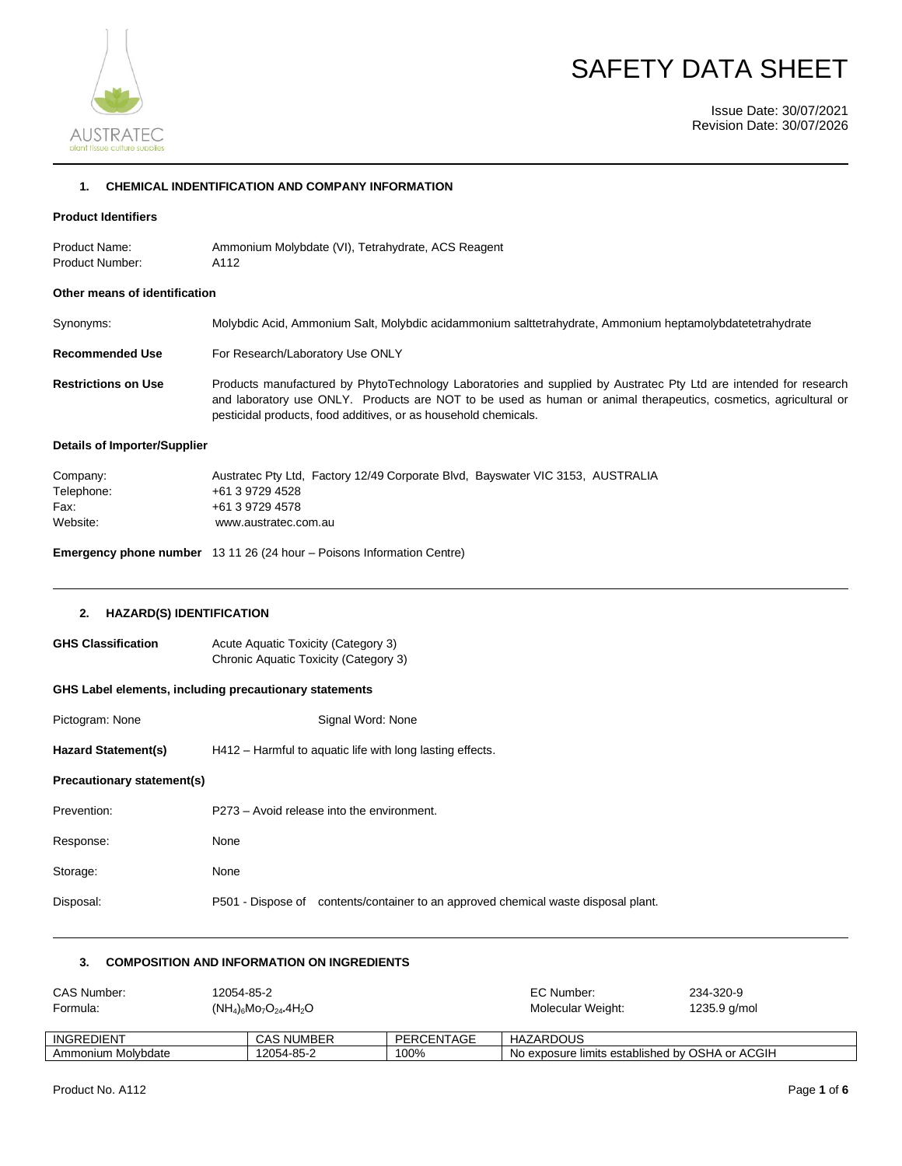

# SAFETY DATA SHEET

Issue Date: 30/07/2021 Revision Date: 30/07/2026

#### **1. CHEMICAL INDENTIFICATION AND COMPANY INFORMATION**

#### **Product Identifiers**

Product Name: Ammonium Molybdate (VI), Tetrahydrate, ACS Reagent Product Number: A112

#### **Other means of identification**

Synonyms: Molybdic Acid, Ammonium Salt, Molybdic acidammonium salttetrahydrate, Ammonium heptamolybdatetetrahydrate **Recommended Use** For Research/Laboratory Use ONLY **Restrictions on Use** Products manufactured by PhytoTechnology Laboratories and supplied by Austratec Pty Ltd are intended for research and laboratory use ONLY. Products are NOT to be used as human or animal therapeutics, cosmetics, agricultural or pesticidal products, food additives, or as household chemicals.

#### **Details of Importer/Supplier**

| Company:   | Austratec Pty Ltd. Factory 12/49 Corporate Blvd. Bayswater VIC 3153, AUSTRALIA |
|------------|--------------------------------------------------------------------------------|
| Telephone: | +61 3 9729 4528                                                                |
| Fax:       | +61 3 9729 4578                                                                |
| Website:   | www.austratec.com.au                                                           |
|            |                                                                                |

**Emergency phone number** 13 11 26 (24 hour – Poisons Information Centre)

#### **2. HAZARD(S) IDENTIFICATION**

| <b>GHS Classification</b> | Acute Aquatic Toxicity (Category 3)   |
|---------------------------|---------------------------------------|
|                           | Chronic Aquatic Toxicity (Category 3) |

#### **GHS Label elements, including precautionary statements**

| Pictogram: None                   | Signal Word: None                                                                  |  |
|-----------------------------------|------------------------------------------------------------------------------------|--|
| <b>Hazard Statement(s)</b>        | H412 – Harmful to aquatic life with long lasting effects.                          |  |
| <b>Precautionary statement(s)</b> |                                                                                    |  |
| Prevention:                       | P273 – Avoid release into the environment.                                         |  |
| Response:                         | None                                                                               |  |
| Storage:                          | None                                                                               |  |
| Disposal:                         | P501 - Dispose of contents/container to an approved chemical waste disposal plant. |  |

#### **3. COMPOSITION AND INFORMATION ON INGREDIENTS**

| CAS Number:        | 12054-85-2                             |            | EC Number:                                      | 234-320-9    |
|--------------------|----------------------------------------|------------|-------------------------------------------------|--------------|
| Formula:           | $(NH_4)_6M_2O_{24}$ .4H <sub>2</sub> O |            | Molecular Weight:                               | 1235.9 g/mol |
|                    |                                        |            |                                                 |              |
| INGREDIENT         | <b>CAS NUMBER</b>                      | PERCENTAGE | HAZARDOUS                                       |              |
| Ammonium Molvbdate | 12054-85-2                             | 100%       | No exposure limits established by OSHA or ACGIH |              |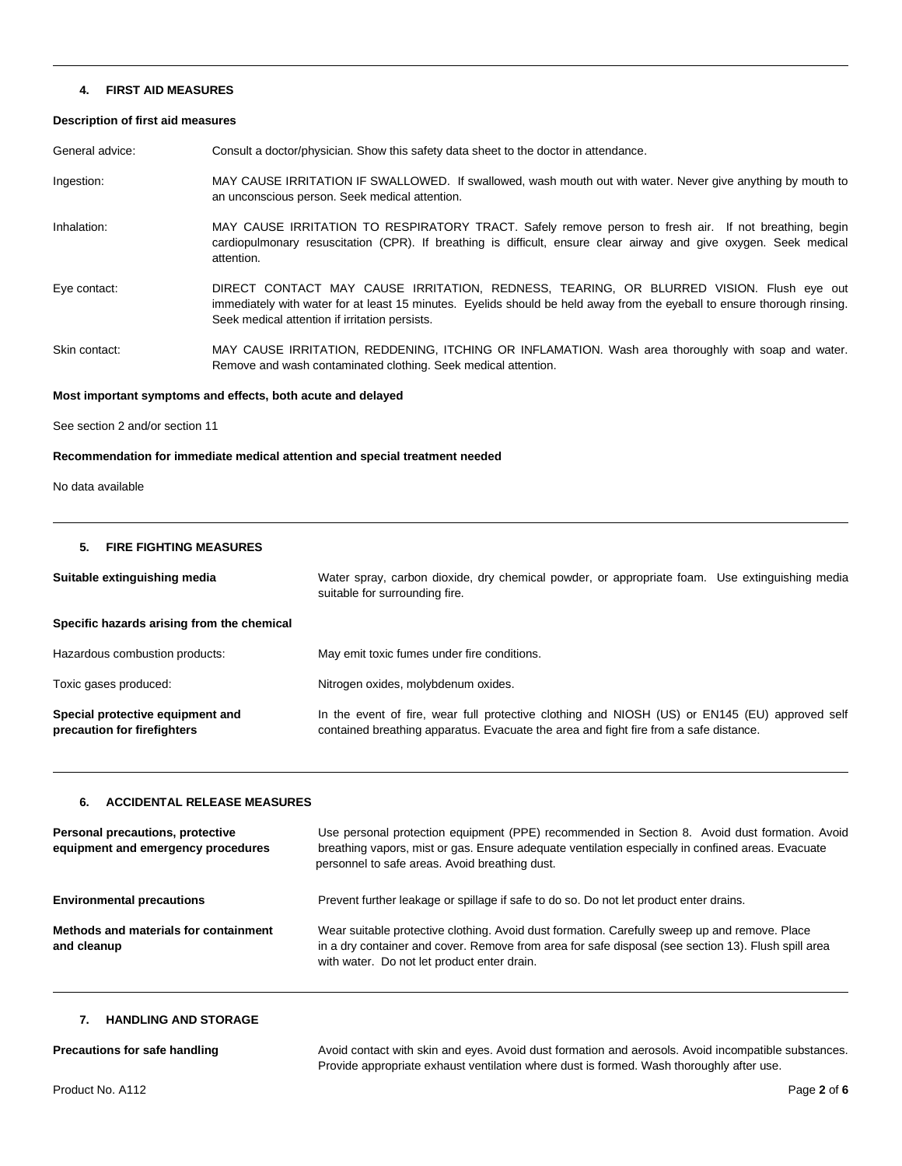#### **4. FIRST AID MEASURES**

#### **Description of first aid measures**

General advice: Consult a doctor/physician. Show this safety data sheet to the doctor in attendance.

Ingestion: MAY CAUSE IRRITATION IF SWALLOWED. If swallowed, wash mouth out with water. Never give anything by mouth to an unconscious person. Seek medical attention.

Inhalation: MAY CAUSE IRRITATION TO RESPIRATORY TRACT. Safely remove person to fresh air. If not breathing, begin cardiopulmonary resuscitation (CPR). If breathing is difficult, ensure clear airway and give oxygen. Seek medical attention.

Eye contact: DIRECT CONTACT MAY CAUSE IRRITATION, REDNESS, TEARING, OR BLURRED VISION. Flush eye out immediately with water for at least 15 minutes. Eyelids should be held away from the eyeball to ensure thorough rinsing. Seek medical attention if irritation persists.

Skin contact: MAY CAUSE IRRITATION, REDDENING, ITCHING OR INFLAMATION. Wash area thoroughly with soap and water. Remove and wash contaminated clothing. Seek medical attention.

#### **Most important symptoms and effects, both acute and delayed**

See section 2 and/or section 11

#### **Recommendation for immediate medical attention and special treatment needed**

No data available

#### **5. FIRE FIGHTING MEASURES**

| Suitable extinguishing media                                    | Water spray, carbon dioxide, dry chemical powder, or appropriate foam. Use extinguishing media<br>suitable for surrounding fire.                                                        |
|-----------------------------------------------------------------|-----------------------------------------------------------------------------------------------------------------------------------------------------------------------------------------|
| Specific hazards arising from the chemical                      |                                                                                                                                                                                         |
| Hazardous combustion products:                                  | May emit toxic fumes under fire conditions.                                                                                                                                             |
| Toxic gases produced:                                           | Nitrogen oxides, molybdenum oxides.                                                                                                                                                     |
| Special protective equipment and<br>precaution for firefighters | In the event of fire, wear full protective clothing and NIOSH (US) or EN145 (EU) approved self<br>contained breathing apparatus. Evacuate the area and fight fire from a safe distance. |

#### **6. ACCIDENTAL RELEASE MEASURES**

| Personal precautions, protective<br>equipment and emergency procedures | Use personal protection equipment (PPE) recommended in Section 8. Avoid dust formation. Avoid<br>breathing vapors, mist or gas. Ensure adequate ventilation especially in confined areas. Evacuate<br>personnel to safe areas. Avoid breathing dust. |
|------------------------------------------------------------------------|------------------------------------------------------------------------------------------------------------------------------------------------------------------------------------------------------------------------------------------------------|
| <b>Environmental precautions</b>                                       | Prevent further leakage or spillage if safe to do so. Do not let product enter drains.                                                                                                                                                               |
| Methods and materials for containment<br>and cleanup                   | Wear suitable protective clothing. Avoid dust formation. Carefully sweep up and remove. Place<br>in a dry container and cover. Remove from area for safe disposal (see section 13). Flush spill area<br>with water. Do not let product enter drain.  |

#### **7. HANDLING AND STORAGE**

**Precautions for safe handling Avoid contact with skin and eyes. Avoid dust formation and aerosols. Avoid incompatible substances.** Provide appropriate exhaust ventilation where dust is formed. Wash thoroughly after use.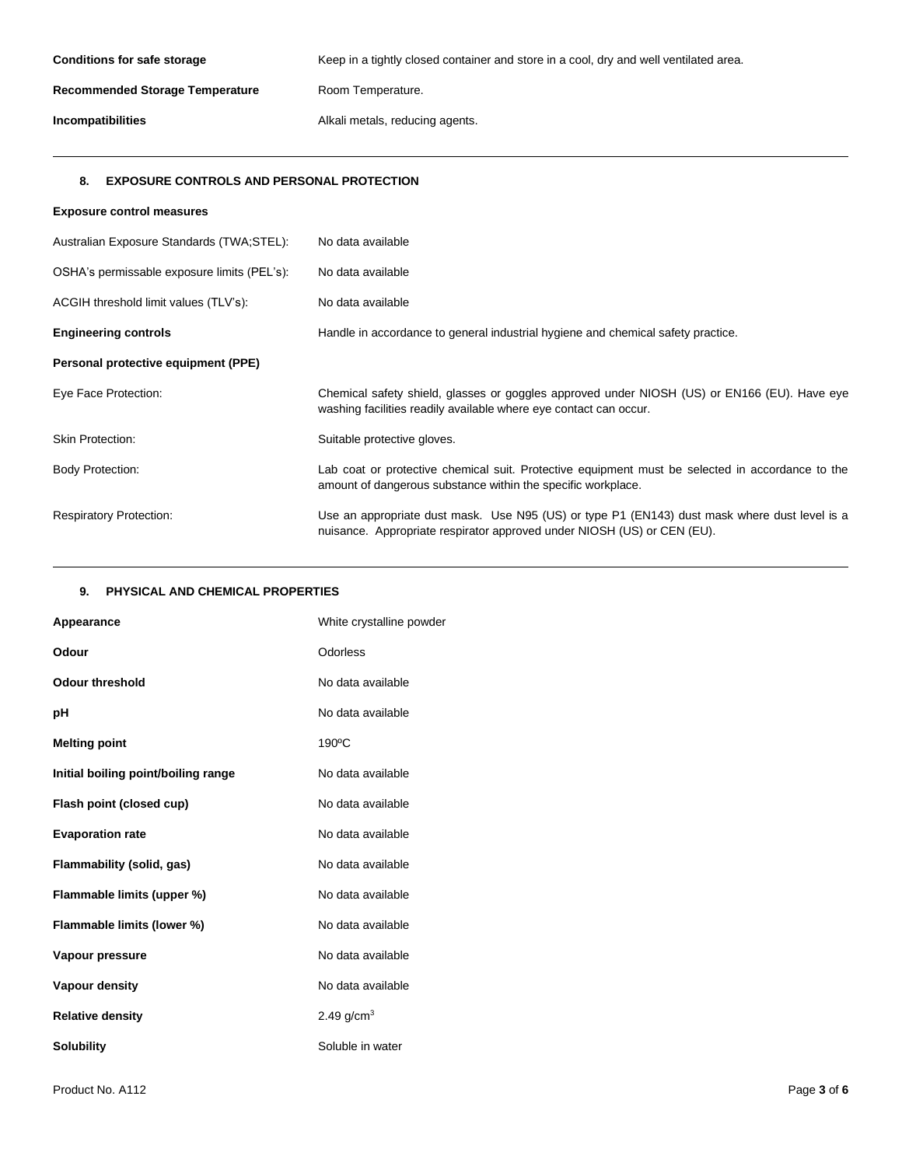| <b>Conditions for safe storage</b>     | Keep in a tightly closed container and store in a cool, dry and well ventilated area. |
|----------------------------------------|---------------------------------------------------------------------------------------|
| <b>Recommended Storage Temperature</b> | Room Temperature.                                                                     |
| Incompatibilities                      | Alkali metals, reducing agents.                                                       |

#### **8. EXPOSURE CONTROLS AND PERSONAL PROTECTION**

| <b>Exposure control measures</b>            |                                                                                                                                                                          |
|---------------------------------------------|--------------------------------------------------------------------------------------------------------------------------------------------------------------------------|
| Australian Exposure Standards (TWA;STEL):   | No data available                                                                                                                                                        |
| OSHA's permissable exposure limits (PEL's): | No data available                                                                                                                                                        |
| ACGIH threshold limit values (TLV's):       | No data available                                                                                                                                                        |
| <b>Engineering controls</b>                 | Handle in accordance to general industrial hygiene and chemical safety practice.                                                                                         |
| Personal protective equipment (PPE)         |                                                                                                                                                                          |
| Eye Face Protection:                        | Chemical safety shield, glasses or goggles approved under NIOSH (US) or EN166 (EU). Have eye<br>washing facilities readily available where eye contact can occur.        |
| <b>Skin Protection:</b>                     | Suitable protective gloves.                                                                                                                                              |
| <b>Body Protection:</b>                     | Lab coat or protective chemical suit. Protective equipment must be selected in accordance to the<br>amount of dangerous substance within the specific workplace.         |
| <b>Respiratory Protection:</b>              | Use an appropriate dust mask. Use N95 (US) or type P1 (EN143) dust mask where dust level is a<br>nuisance. Appropriate respirator approved under NIOSH (US) or CEN (EU). |

#### **9. PHYSICAL AND CHEMICAL PROPERTIES**

| Appearance                          | White crystalline powder |
|-------------------------------------|--------------------------|
| Odour                               | Odorless                 |
| Odour threshold                     | No data available        |
| рH                                  | No data available        |
| <b>Melting point</b>                | 190°C                    |
| Initial boiling point/boiling range | No data available        |
| Flash point (closed cup)            | No data available        |
| <b>Evaporation rate</b>             | No data available        |
| Flammability (solid, gas)           | No data available        |
| Flammable limits (upper %)          | No data available        |
| Flammable limits (lower %)          | No data available        |
| Vapour pressure                     | No data available        |
| Vapour density                      | No data available        |
| <b>Relative density</b>             | 2.49 $q/cm^{3}$          |
| <b>Solubility</b>                   | Soluble in water         |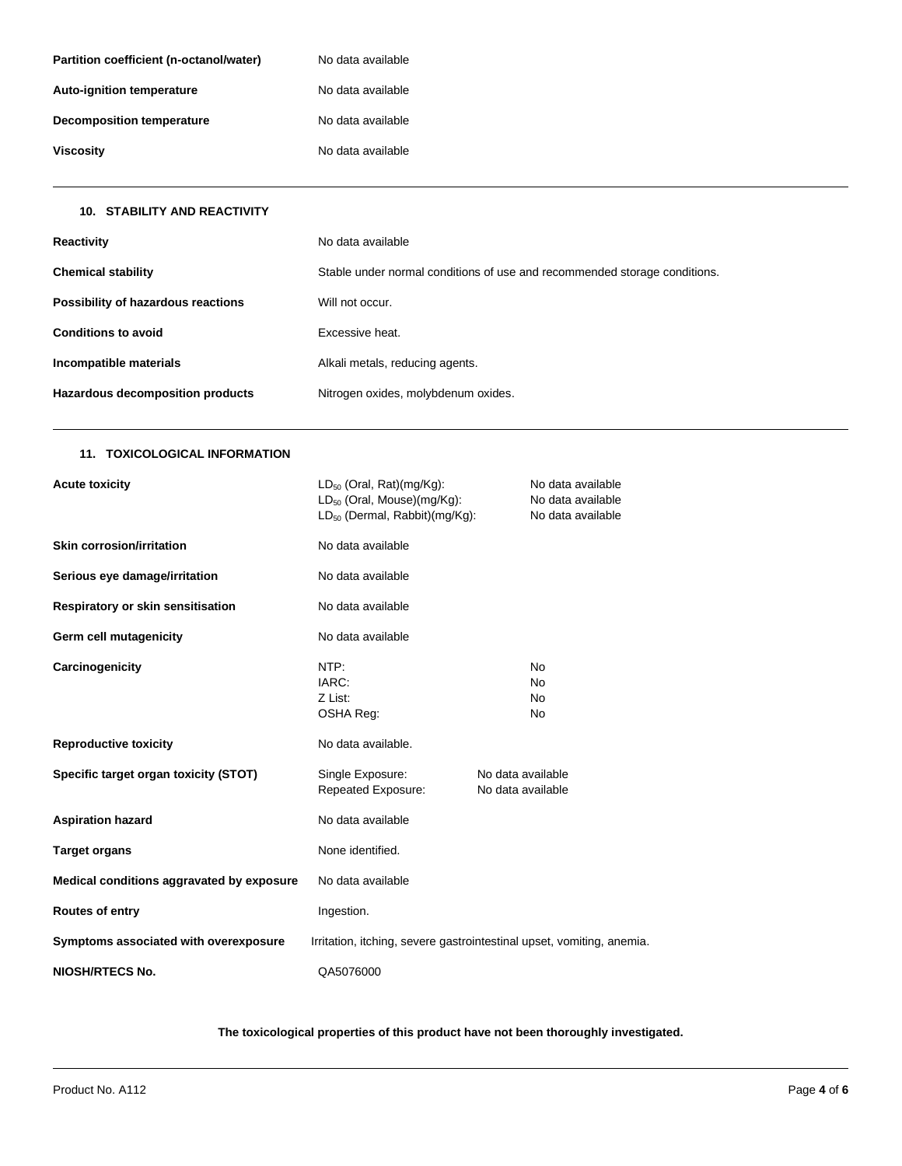| Partition coefficient (n-octanol/water) | No data available |
|-----------------------------------------|-------------------|
| <b>Auto-ignition temperature</b>        | No data available |
| Decomposition temperature               | No data available |
| Viscosity                               | No data available |

## **10. STABILITY AND REACTIVITY Reactivity No data available Chemical stability** Stable under normal conditions of use and recommended storage conditions. **Possibility of hazardous reactions** Will not occur. **Conditions to avoid** Excessive heat. **Incompatible materials Incompatible materials Alkali metals, reducing agents.**

### Hazardous decomposition products Nitrogen oxides, molybdenum oxides.

### **11. TOXICOLOGICAL INFORMATION**

| <b>Acute toxicity</b>                     | $LD_{50}$ (Oral, Rat)(mg/Kg):<br>LD <sub>50</sub> (Oral, Mouse)(mg/Kg):<br>$LD_{50}$ (Dermal, Rabbit) (mg/Kg): |                                        | No data available<br>No data available<br>No data available |  |
|-------------------------------------------|----------------------------------------------------------------------------------------------------------------|----------------------------------------|-------------------------------------------------------------|--|
| <b>Skin corrosion/irritation</b>          | No data available                                                                                              |                                        |                                                             |  |
| Serious eye damage/irritation             | No data available                                                                                              |                                        |                                                             |  |
| Respiratory or skin sensitisation         | No data available                                                                                              |                                        |                                                             |  |
| Germ cell mutagenicity                    | No data available                                                                                              |                                        |                                                             |  |
| Carcinogenicity                           | NTP:<br>IARC:<br>Z List:<br>OSHA Reg:                                                                          |                                        | No<br><b>No</b><br>No<br><b>No</b>                          |  |
| <b>Reproductive toxicity</b>              | No data available.                                                                                             |                                        |                                                             |  |
| Specific target organ toxicity (STOT)     | Single Exposure:<br>Repeated Exposure:                                                                         | No data available<br>No data available |                                                             |  |
| <b>Aspiration hazard</b>                  | No data available                                                                                              |                                        |                                                             |  |
| <b>Target organs</b>                      | None identified.                                                                                               |                                        |                                                             |  |
| Medical conditions aggravated by exposure | No data available                                                                                              |                                        |                                                             |  |
| Routes of entry                           | Ingestion.                                                                                                     |                                        |                                                             |  |
| Symptoms associated with overexposure     | Irritation, itching, severe gastrointestinal upset, vomiting, anemia.                                          |                                        |                                                             |  |
| <b>NIOSH/RTECS No.</b>                    | QA5076000                                                                                                      |                                        |                                                             |  |

**The toxicological properties of this product have not been thoroughly investigated.**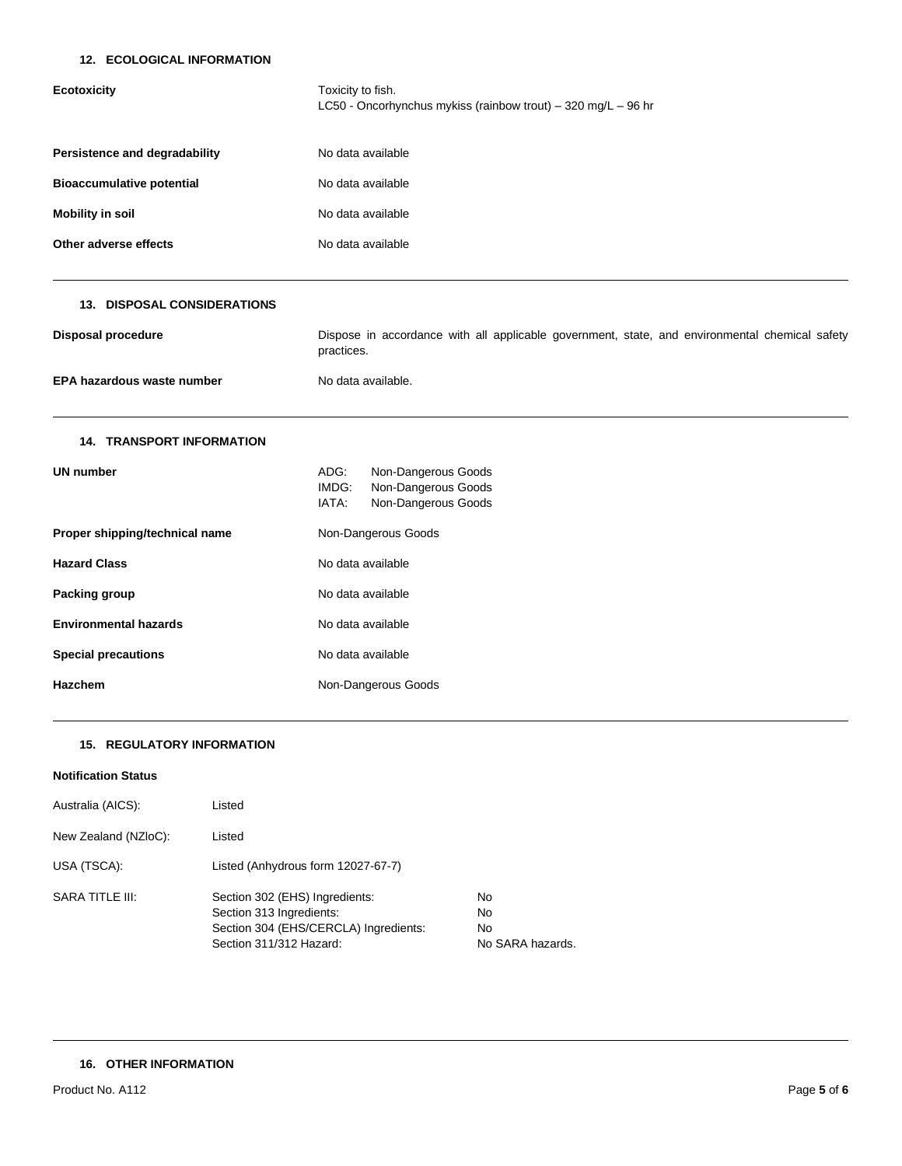#### **12. ECOLOGICAL INFORMATION**

| <b>Ecotoxicity</b>                 | Toxicity to fish.<br>LC50 - Oncorhynchus mykiss (rainbow trout) - 320 mg/L - 96 hr                           |  |
|------------------------------------|--------------------------------------------------------------------------------------------------------------|--|
| Persistence and degradability      | No data available                                                                                            |  |
| <b>Bioaccumulative potential</b>   | No data available                                                                                            |  |
| <b>Mobility in soil</b>            | No data available                                                                                            |  |
| Other adverse effects              | No data available                                                                                            |  |
| <b>13. DISPOSAL CONSIDERATIONS</b> |                                                                                                              |  |
| <b>Disposal procedure</b>          | Dispose in accordance with all applicable government, state, and environmental chemical safety<br>practices. |  |
| EPA hazardous waste number         | No data available.                                                                                           |  |
| <b>14. TRANSPORT INFORMATION</b>   |                                                                                                              |  |
| <b>UN number</b>                   | ADG:<br>Non-Dangerous Goods<br>IMDG:<br>Non-Dangerous Goods<br>IATA:<br>Non-Dangerous Goods                  |  |
| Proper shipping/technical name     | Non-Dangerous Goods                                                                                          |  |
| <b>Hazard Class</b>                | No data available                                                                                            |  |
| Packing group                      | No data available                                                                                            |  |
| <b>Environmental hazards</b>       | No data available                                                                                            |  |
| <b>Special precautions</b>         | No data available                                                                                            |  |
| <b>Hazchem</b>                     | Non-Dangerous Goods                                                                                          |  |

#### **15. REGULATORY INFORMATION**

#### **Notification Status**

| Australia (AICS):      | Listed                                                                                                                         |                                                  |
|------------------------|--------------------------------------------------------------------------------------------------------------------------------|--------------------------------------------------|
| New Zealand (NZIoC):   | Listed                                                                                                                         |                                                  |
| USA (TSCA):            | Listed (Anhydrous form 12027-67-7)                                                                                             |                                                  |
| <b>SARA TITLE III:</b> | Section 302 (EHS) Ingredients:<br>Section 313 Ingredients:<br>Section 304 (EHS/CERCLA) Ingredients:<br>Section 311/312 Hazard: | No<br><b>No</b><br><b>No</b><br>No SARA hazards. |